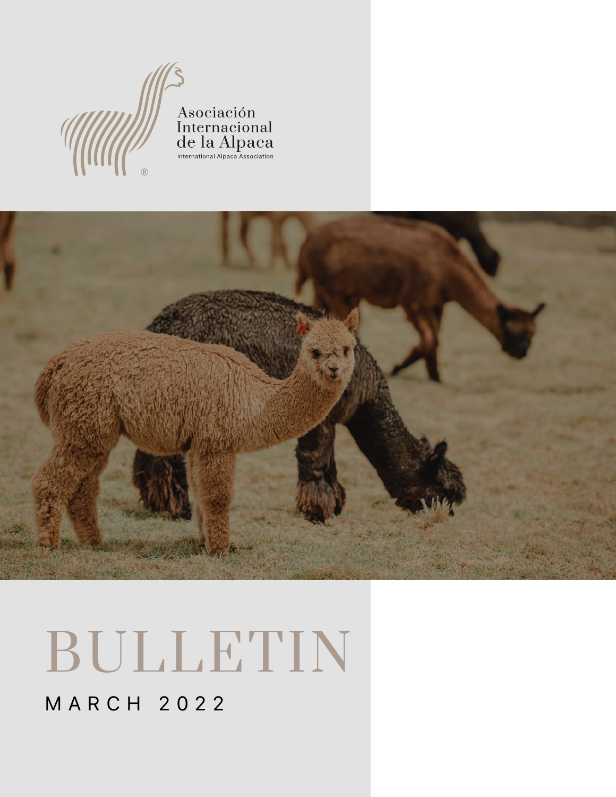## MARCH 2022







# BULLETIN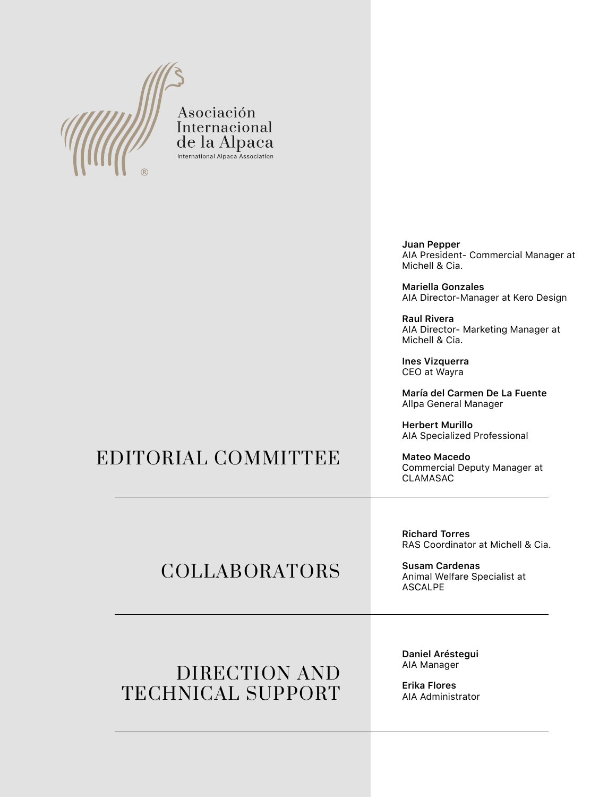

Asociación Internacional de la Alpaca International Alpaca Association

#### EDITORIAL COMMITTEE

# COLLABORATORS

**Juan Pepper**  AIA President- Commercial Manager at Michell & Cia.

**Mariella Gonzales**  AIA Director-Manager at Kero Design

**Raul Rivera**  AIA Director- Marketing Manager at Michell & Cia.

**Ines Vizquerra**  CEO at Wayra

**María del Carmen De La Fuente**  Allpa General Manager

**Herbert Murillo**  AIA Specialized Professional

**Mateo Macedo**  Commercial Deputy Manager at CLAMASAC

#### DIRECTION AND TECHNICAL SUPPORT

**Daniel Aréstegui** AIA Manager

**Erika Flores** AIA Administrator

**Richard Torres** RAS Coordinator at Michell & Cia.

**Susam Cardenas** Animal Welfare Specialist at ASCALPE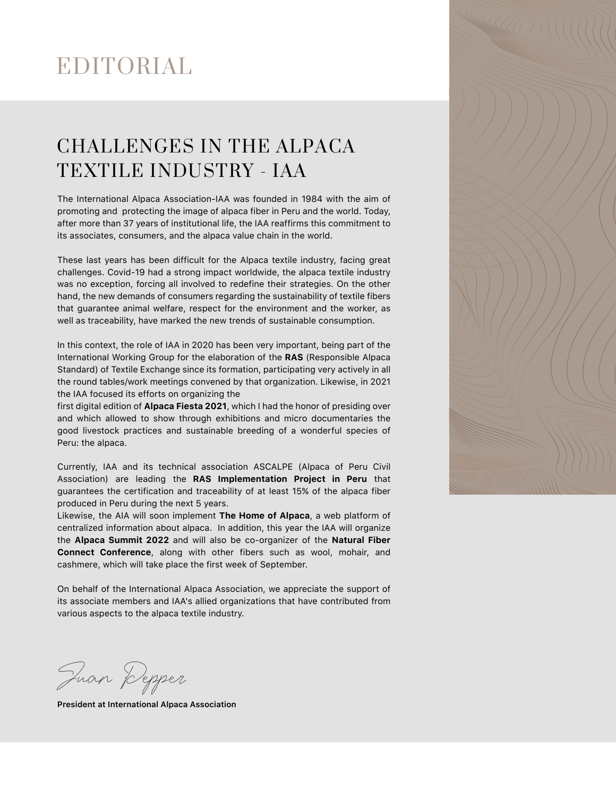# EDITORIAL

# CHALLENGES IN THE ALPACA TEXTILE INDUSTRY - IAA

The International Alpaca Association-IAA was founded in 1984 with the aim of promoting and protecting the image of alpaca fiber in Peru and the world. Today, after more than 37 years of institutional life, the IAA reaffirms this commitment to its associates, consumers, and the alpaca value chain in the world.

These last years has been difficult for the Alpaca textile industry, facing great challenges. Covid-19 had a strong impact worldwide, the alpaca textile industry was no exception, forcing all involved to redefine their strategies. On the other hand, the new demands of consumers regarding the sustainability of textile fibers that guarantee animal welfare, respect for the environment and the worker, as well as traceability, have marked the new trends of sustainable consumption.

In this context, the role of IAA in 2020 has been very important, being part of the International Working Group for the elaboration of the **RAS** (Responsible Alpaca Standard) of Textile Exchange since its formation, participating very actively in all the round tables/work meetings convened by that organization. Likewise, in 2021 the IAA focused its efforts on organizing the

first digital edition of **Alpaca Fiesta 2021**, which I had the honor of presiding over and which allowed to show through exhibitions and micro documentaries the good livestock practices and sustainable breeding of a wonderful species of Peru: the alpaca.

Currently, IAA and its technical association ASCALPE (Alpaca of Peru Civil Association) are leading the **RAS Implementation Project in Peru** that guarantees the certification and traceability of at least 15% of the alpaca fiber produced in Peru during the next 5 years.

Likewise, the AIA will soon implement **The Home of Alpaca**, a web platform of centralized information about alpaca. In addition, this year the IAA will organize the **Alpaca Summit 2022** and will also be co-organizer of the **Natural Fiber Connect Conference**, along with other fibers such as wool, mohair, and cashmere, which will take place the first week of September.

On behalf of the International Alpaca Association, we appreciate the support of its associate members and IAA's allied organizations that have contributed from



various aspects to the alpaca textile industry.

Juan Pepper

**President at International Alpaca Association**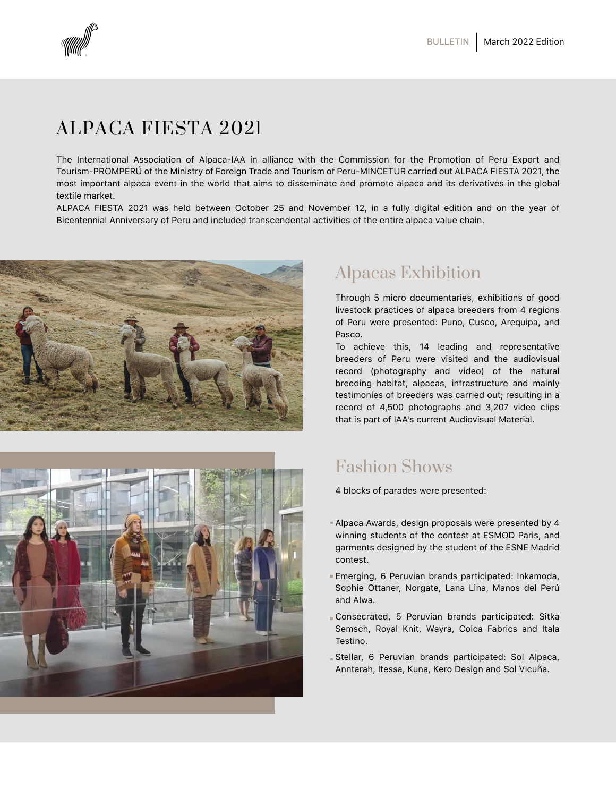

# ALPACA FIESTA 2021

The International Association of Alpaca-IAA in alliance with the Commission for the Promotion of Peru Export and Tourism-PROMPERÚ of the Ministry of Foreign Trade and Tourism of Peru-MINCETUR carried out ALPACA FIESTA 2021, the most important alpaca event in the world that aims to disseminate and promote alpaca and its derivatives in the global textile market.

ALPACA FIESTA 2021 was held between October 25 and November 12, in a fully digital edition and on the year of Bicentennial Anniversary of Peru and included transcendental activities of the entire alpaca value chain.



Through 5 micro documentaries, exhibitions of good livestock practices of alpaca breeders from 4 regions of Peru were presented: Puno, Cusco, Arequipa, and Pasco.

To achieve this, 14 leading and representative breeders of Peru were visited and the audiovisual record (photography and video) of the natural breeding habitat, alpacas, infrastructure and mainly testimonies of breeders was carried out; resulting in a record of 4,500 photographs and 3,207 video clips that is part of IAA's current Audiovisual Material.



4 blocks of parades were presented:

- Alpaca Awards, design proposals were presented by 4 winning students of the contest at ESMOD Paris, and garments designed by the student of the ESNE Madrid contest.
- Emerging, 6 Peruvian brands participated: Inkamoda, Sophie Ottaner, Norgate, Lana Lina, Manos del Perú and Alwa.

Consecrated, 5 Peruvian brands participated: Sitka Semsch, Royal Knit, Wayra, Colca Fabrics and Itala Testino.

Stellar, 6 Peruvian brands participated: Sol Alpaca, Anntarah, Itessa, Kuna, Kero Design and Sol Vicuña.

## Alpacas Exhibition

## Fashion Shows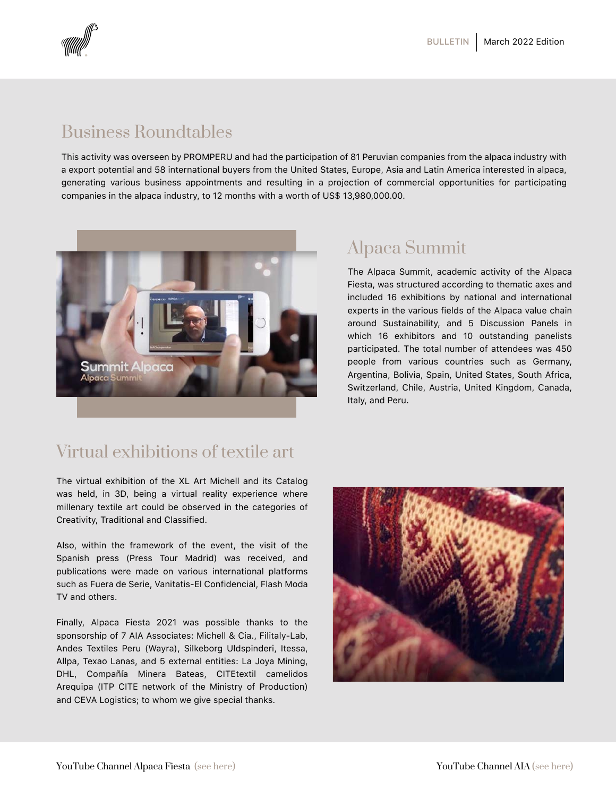

This activity was overseen by PROMPERU and had the participation of 81 Peruvian companies from the alpaca industry with a export potential and 58 international buyers from the United States, Europe, Asia and Latin America interested in alpaca, generating various business appointments and resulting in a projection of commercial opportunities for participating companies in the alpaca industry, to 12 months with a worth of US\$ 13,980,000.00.



The Alpaca Summit, academic activity of the Alpaca Fiesta, was structured according to thematic axes and included 16 exhibitions by national and international experts in the various fields of the Alpaca value chain around Sustainability, and 5 Discussion Panels in which 16 exhibitors and 10 outstanding panelists participated. The total number of attendees was 450 people from various countries such as Germany, Argentina, Bolivia, Spain, United States, South Africa, Switzerland, Chile, Austria, United Kingdom, Canada, Italy, and Peru.

The virtual exhibition of the XL Art Michell and its Catalog was held, in 3D, being a virtual reality experience where millenary textile art could be observed in the categories of Creativity, Traditional and Classified.

Also, within the framework of the event, the visit of the Spanish press (Press Tour Madrid) was received, and publications were made on various international platforms such as Fuera de Serie, Vanitatis-El Confidencial, Flash Moda TV and others.



Finally, Alpaca Fiesta 2021 was possible thanks to the sponsorship of 7 AIA Associates: Michell & Cia., Filitaly-Lab, Andes Textiles Peru (Wayra), Silkeborg Uldspinderi, Itessa, Allpa, Texao Lanas, and 5 external entities: La Joya Mining, DHL, Compañía Minera Bateas, CITEtextil camelidos Arequipa (ITP CITE network of the Ministry of Production) and CEVA Logistics; to whom we give special thanks.

#### Business Roundtables

#### Virtual exhibitions of textile art

## Alpaca Summit

YouTube Channel Alpaca Fiesta [\(see here\)](https://www.youtube.com/user/alpacafiestaperu/videos) YouTube Channel AI[A \(see here\)](https://www.youtube.com/channel/UCUwfcZnqKNXQrTZxW4yKE9Q/videos)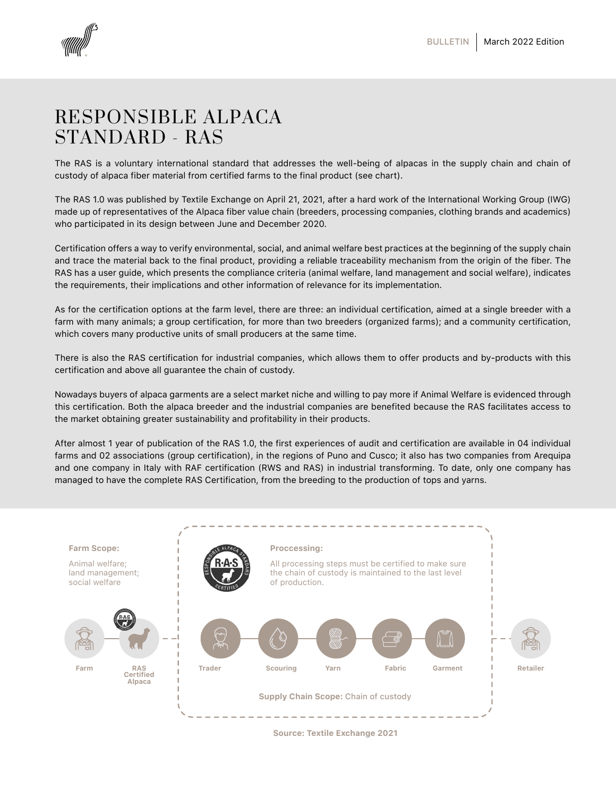



## RESPONSIBLE ALPACA STANDARD - RAS

The RAS is a voluntary international standard that addresses the well-being of alpacas in the supply chain and chain of custody of alpaca fiber material from certified farms to the final product (see chart).

The RAS 1.0 was published by Textile Exchange on April 21, 2021, after a hard work of the International Working Group (IWG) made up of representatives of the Alpaca fiber value chain (breeders, processing companies, clothing brands and academics) who participated in its design between June and December 2020.

Certification offers a way to verify environmental, social, and animal welfare best practices at the beginning of the supply chain and trace the material back to the final product, providing a reliable traceability mechanism from the origin of the fiber. The RAS has a user guide, which presents the compliance criteria (animal welfare, land management and social welfare), indicates the requirements, their implications and other information of relevance for its implementation.

As for the certification options at the farm level, there are three: an individual certification, aimed at a single breeder with a farm with many animals; a group certification, for more than two breeders (organized farms); and a community certification, which covers many productive units of small producers at the same time.

There is also the RAS certification for industrial companies, which allows them to offer products and by-products with this certification and above all guarantee the chain of custody.

Nowadays buyers of alpaca garments are a select market niche and willing to pay more if Animal Welfare is evidenced through this certification. Both the alpaca breeder and the industrial companies are benefited because the RAS facilitates access to the market obtaining greater sustainability and profitability in their products.

After almost 1 year of publication of the RAS 1.0, the first experiences of audit and certification are available in 04 individual farms and 02 associations (group certification), in the regions of Puno and Cusco; it also has two companies from Arequipa and one company in Italy with RAF certification (RWS and RAS) in industrial transforming. To date, only one company has managed to have the complete RAS Certification, from the breeding to the production of tops and yarns.

**Farm Scope:**

Animal welfare; land management; social welfare



**Proccessing:**

All processing steps must be certified to make sure the chain of custody is maintained to the last level of production.



**Source: Textile Exchange 2021**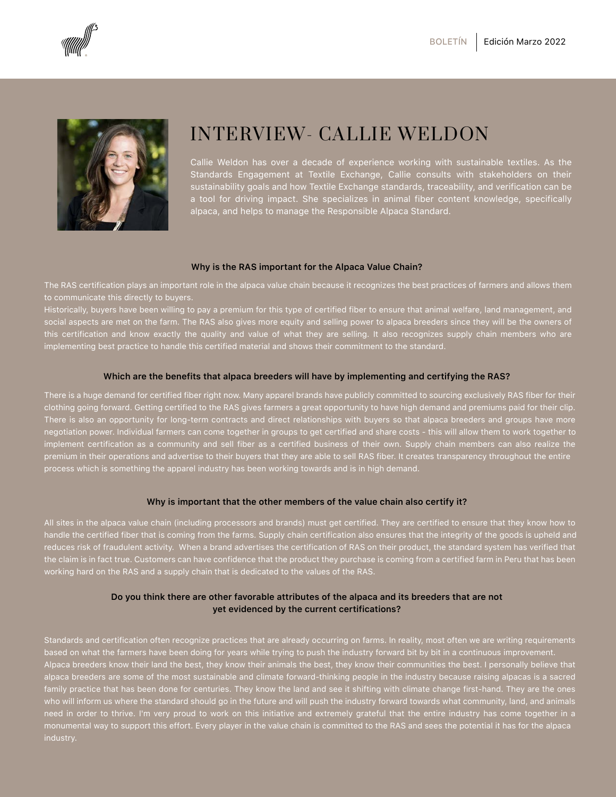



# INTERVIEW- CALLIE WELDON

The RAS certification plays an important role in the alpaca value chain because it recognizes the best practices of farmers and allows them to communicate this directly to buyers.

Historically, buyers have been willing to pay a premium for this type of certified fiber to ensure that animal welfare, land management, and social aspects are met on the farm. The RAS also gives more equity and selling power to alpaca breeders since they will be the owners of this certification and know exactly the quality and value of what they are selling. It also recognizes supply chain members who are implementing best practice to handle this certified material and shows their commitment to the standard.

All sites in the alpaca value chain (including processors and brands) must get certified. They are certified to ensure that they know how to handle the certified fiber that is coming from the farms. Supply chain certification also ensures that the integrity of the goods is upheld and reduces risk of fraudulent activity. When a brand advertises the certification of RAS on their product, the standard system has verified that the claim is in fact true. Customers can have confidence that the product they purchase is coming from a certified farm in Peru that has been working hard on the RAS and a supply chain that is dedicated to the values of the RAS.

Standards and certification often recognize practices that are already occurring on farms. In reality, most often we are writing requirements based on what the farmers have been doing for years while trying to push the industry forward bit by bit in a continuous improvement. Alpaca breeders know their land the best, they know their animals the best, they know their communities the best. I personally believe that alpaca breeders are some of the most sustainable and climate forward-thinking people in the industry because raising alpacas is a sacred family practice that has been done for centuries. They know the land and see it shifting with climate change first-hand. They are the ones who will inform us where the standard should go in the future and will push the industry forward towards what community, land, and animals need in order to thrive. I'm very proud to work on this initiative and extremely grateful that the entire industry has come together in a monumental way to support this effort. Every player in the value chain is committed to the RAS and sees the potential it has for the alpaca industry.

There is a huge demand for certified fiber right now. Many apparel brands have publicly committed to sourcing exclusively RAS fiber for their clothing going forward. Getting certified to the RAS gives farmers a great opportunity to have high demand and premiums paid for their clip. There is also an opportunity for long-term contracts and direct relationships with buyers so that alpaca breeders and groups have more negotiation power. Individual farmers can come together in groups to get certified and share costs - this will allow them to work together to implement certification as a community and sell fiber as a certified business of their own. Supply chain members can also realize the premium in their operations and advertise to their buyers that they are able to sell RAS fiber. It creates transparency throughout the entire process which is something the apparel industry has been working towards and is in high demand.

#### **Why is the RAS important for the Alpaca Value Chain?**

#### **Which are the benefits that alpaca breeders will have by implementing and certifying the RAS?**

#### **Why is important that the other members of the value chain also certify it?**

#### **Do you think there are other favorable attributes of the alpaca and its breeders that are not**

#### **yet evidenced by the current certifications?**

Callie Weldon has over a decade of experience working with sustainable textiles. As the Standards Engagement at Textile Exchange, Callie consults with stakeholders on their sustainability goals and how Textile Exchange standards, traceability, and verification can be a tool for driving impact. She specializes in animal fiber content knowledge, specifically alpaca, and helps to manage the Responsible Alpaca Standard.